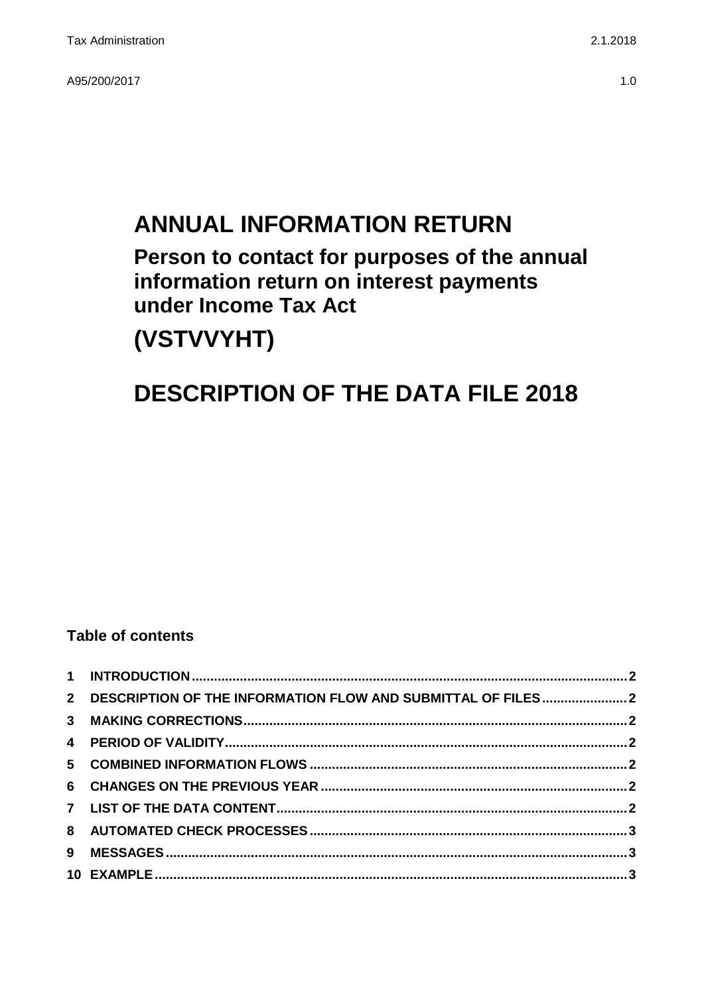A95/200/2017 1.0

# **ANNUAL INFORMATION RETURN Person to contact for purposes of the annual information return on interest payments under Income Tax Act**

# **(VSTVVYHT)**

### **DESCRIPTION OF THE DATA FILE 2018**

### **Table of contents**

| 2 DESCRIPTION OF THE INFORMATION FLOW AND SUBMITTAL OF FILES2 |  |
|---------------------------------------------------------------|--|
|                                                               |  |
|                                                               |  |
|                                                               |  |
|                                                               |  |
|                                                               |  |
|                                                               |  |
|                                                               |  |
|                                                               |  |
|                                                               |  |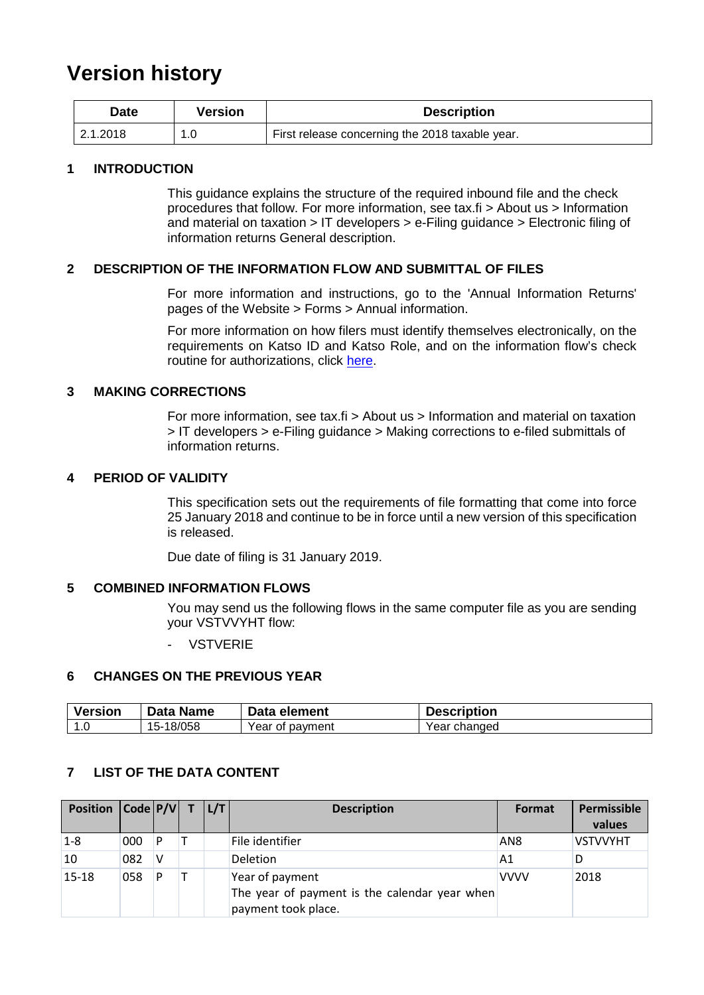### **Version history**

| Date     | Version | <b>Description</b>                              |
|----------|---------|-------------------------------------------------|
| 2.1.2018 |         | First release concerning the 2018 taxable year. |

#### <span id="page-1-0"></span>**1 INTRODUCTION**

This guidance explains the structure of the required inbound file and the check procedures that follow. For more information, see tax.fi > About us > Information and material on taxation > IT developers > e-Filing guidance > Electronic filing of information returns General description.

#### <span id="page-1-1"></span>**2 DESCRIPTION OF THE INFORMATION FLOW AND SUBMITTAL OF FILES**

For more information and instructions, go to the 'Annual Information Returns' pages of the Website > Forms > Annual information.

For more information on how filers must identify themselves electronically, on the requirements on Katso ID and Katso Role, and on the information flow's check routine for authorizations, click [here.](https://www.ilmoitin.fi/webtamo/sivut/IlmoituslajiRoolit?kieli=en&tv=VSTVVYHT)

#### <span id="page-1-2"></span>**3 MAKING CORRECTIONS**

For more information, see tax.fi > About us > Information and material on taxation > IT developers > e-Filing guidance > Making corrections to e-filed submittals of information returns.

#### <span id="page-1-3"></span>**4 PERIOD OF VALIDITY**

This specification sets out the requirements of file formatting that come into force 25 January 2018 and continue to be in force until a new version of this specification is released.

Due date of filing is 31 January 2019.

#### <span id="page-1-4"></span>**5 COMBINED INFORMATION FLOWS**

You may send us the following flows in the same computer file as you are sending your VSTVVYHT flow:

- VSTVERIE

#### <span id="page-1-5"></span>**6 CHANGES ON THE PREVIOUS YEAR**

| Version            | Data Name | Data element    | <b>Description</b> |
|--------------------|-----------|-----------------|--------------------|
| $\sqrt{ }$<br>. .U | 15-18/058 | Year of payment | Year changed       |

#### <span id="page-1-6"></span>**7 LIST OF THE DATA CONTENT**

| Position   Code   P/V |     |   | L/T | <b>Description</b>                                                                      | Format          | Permissible     |
|-----------------------|-----|---|-----|-----------------------------------------------------------------------------------------|-----------------|-----------------|
|                       |     |   |     |                                                                                         |                 | values          |
| $1 - 8$               | 000 | P |     | File identifier                                                                         | AN <sub>8</sub> | <b>VSTVVYHT</b> |
| 10                    | 082 | ٧ |     | <b>Deletion</b>                                                                         | A <sub>1</sub>  | D               |
| $15 - 18$             | 058 | P |     | Year of payment<br>The year of payment is the calendar year when<br>payment took place. | <b>VVVV</b>     | 2018            |